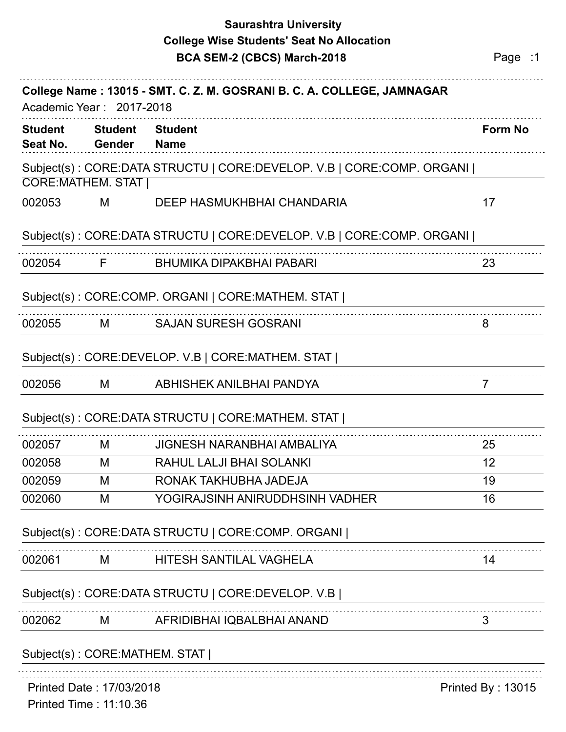## **Saurashtra University BCA SEM-2 (CBCS) March-2018 Page :1 College Wise Students' Seat No Allocation**

| <b>Student</b><br>Seat No.                                | <b>Student</b><br>Gender      | <b>Student</b><br><b>Name</b>                                         | <b>Form No</b>    |
|-----------------------------------------------------------|-------------------------------|-----------------------------------------------------------------------|-------------------|
|                                                           |                               | Subject(s): CORE:DATA STRUCTU   CORE:DEVELOP. V.B   CORE:COMP. ORGANI |                   |
|                                                           | <b>CORE:MATHEM. STAT  </b>    |                                                                       |                   |
| 002053                                                    | M                             | DEEP HASMUKHBHAI CHANDARIA                                            | 17                |
|                                                           |                               | Subject(s): CORE:DATA STRUCTU   CORE:DEVELOP. V.B   CORE:COMP. ORGANI |                   |
| 002054                                                    | F                             | <b>BHUMIKA DIPAKBHAI PABARI</b>                                       | 23                |
|                                                           |                               | Subject(s): CORE:COMP. ORGANI   CORE:MATHEM. STAT                     |                   |
| 002055                                                    | M                             | <b>SAJAN SURESH GOSRANI</b>                                           | 8                 |
|                                                           |                               | Subject(s): CORE:DEVELOP. V.B   CORE:MATHEM. STAT                     |                   |
| 002056                                                    | M                             | ABHISHEK ANILBHAI PANDYA                                              | 7                 |
|                                                           |                               | Subject(s): CORE:DATA STRUCTU   CORE:MATHEM. STAT                     |                   |
| 002057                                                    | M                             | <b>JIGNESH NARANBHAI AMBALIYA</b>                                     | 25                |
| 002058                                                    | M                             | RAHUL LALJI BHAI SOLANKI                                              | 12                |
| 002059                                                    | M                             | RONAK TAKHUBHA JADEJA                                                 | 19                |
| 002060                                                    | M                             | YOGIRAJSINH ANIRUDDHSINH VADHER                                       | 16                |
|                                                           |                               | Subject(s): CORE:DATA STRUCTU   CORE:COMP. ORGANI                     |                   |
| 002061                                                    | M                             | HITESH SANTILAL VAGHELA                                               | 14                |
|                                                           |                               | Subject(s): CORE:DATA STRUCTU   CORE:DEVELOP. V.B                     |                   |
| 002062                                                    | M                             | AFRIDIBHAI IQBALBHAI ANAND                                            | 3                 |
|                                                           | Subject(s): CORE:MATHEM. STAT |                                                                       |                   |
| Printed Date: 17/03/2018<br><b>Printed Time: 11:10.36</b> |                               |                                                                       | Printed By: 13015 |